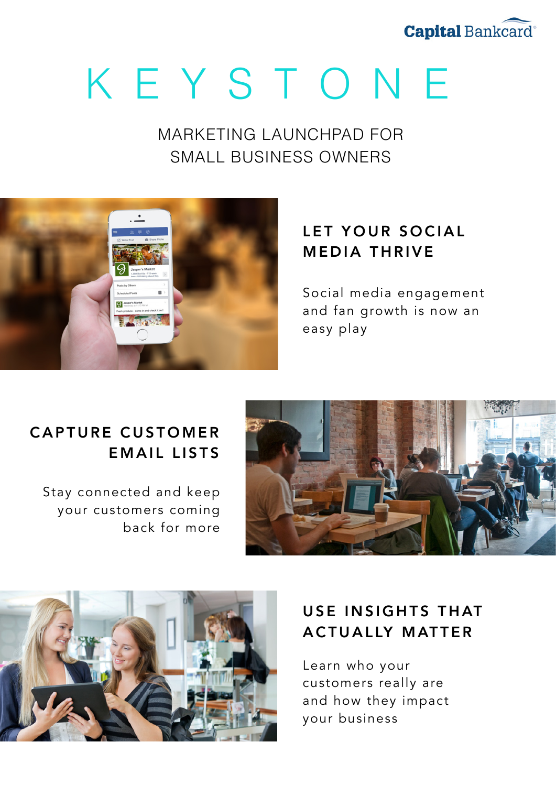

# KEYSTONE

MARKETING LAUNCHPAD FOR SMALL BUSINESS OWNERS



## LET YOUR SOCIAL MEDIA THRIVE

Social media engagement and fan growth is now an easy play

## CAPTURE CUSTOMER EMAIL LISTS

Stay connected and keep your customers coming back for more





# USE INSIGHTS THAT ACTUALLY MATTER

Learn who your customers really are and how they impact your business